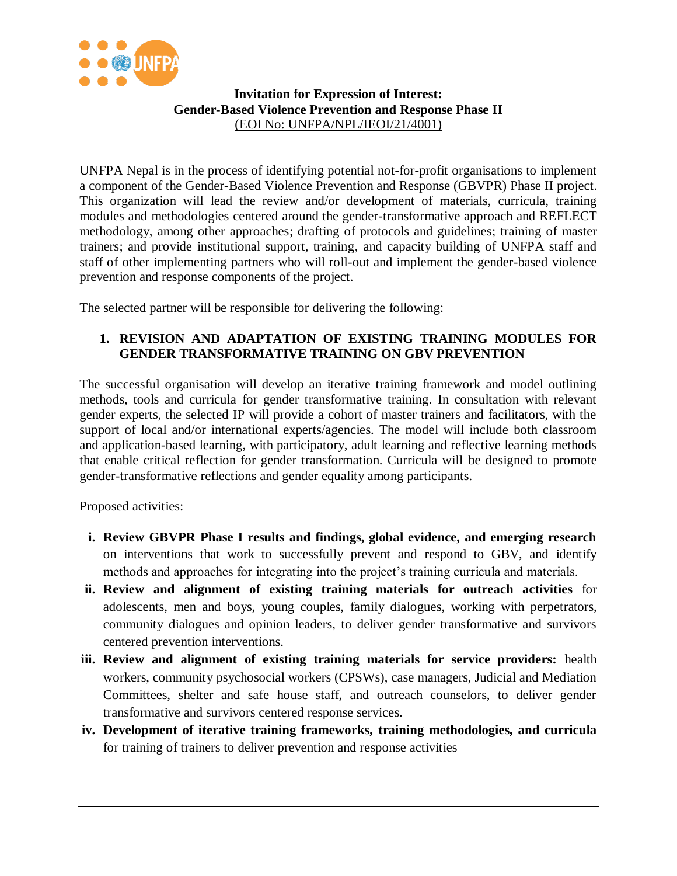

## **Invitation for Expression of Interest: Gender-Based Violence Prevention and Response Phase II** (EOI No: UNFPA/NPL/IEOI/21/4001)

UNFPA Nepal is in the process of identifying potential not-for-profit organisations to implement a component of the Gender-Based Violence Prevention and Response (GBVPR) Phase II project. This organization will lead the review and/or development of materials, curricula, training modules and methodologies centered around the gender-transformative approach and REFLECT methodology, among other approaches; drafting of protocols and guidelines; training of master trainers; and provide institutional support, training, and capacity building of UNFPA staff and staff of other implementing partners who will roll-out and implement the gender-based violence prevention and response components of the project.

The selected partner will be responsible for delivering the following:

## **1. REVISION AND ADAPTATION OF EXISTING TRAINING MODULES FOR GENDER TRANSFORMATIVE TRAINING ON GBV PREVENTION**

The successful organisation will develop an iterative training framework and model outlining methods, tools and curricula for gender transformative training. In consultation with relevant gender experts, the selected IP will provide a cohort of master trainers and facilitators, with the support of local and/or international experts/agencies. The model will include both classroom and application-based learning, with participatory, adult learning and reflective learning methods that enable critical reflection for gender transformation. Curricula will be designed to promote gender-transformative reflections and gender equality among participants.

Proposed activities:

- **i. Review GBVPR Phase I results and findings, global evidence, and emerging research** on interventions that work to successfully prevent and respond to GBV, and identify methods and approaches for integrating into the project's training curricula and materials.
- **ii. Review and alignment of existing training materials for outreach activities** for adolescents, men and boys, young couples, family dialogues, working with perpetrators, community dialogues and opinion leaders, to deliver gender transformative and survivors centered prevention interventions.
- **iii. Review and alignment of existing training materials for service providers:** health workers, community psychosocial workers (CPSWs), case managers, Judicial and Mediation Committees, shelter and safe house staff, and outreach counselors, to deliver gender transformative and survivors centered response services.
- **iv. Development of iterative training frameworks, training methodologies, and curricula** for training of trainers to deliver prevention and response activities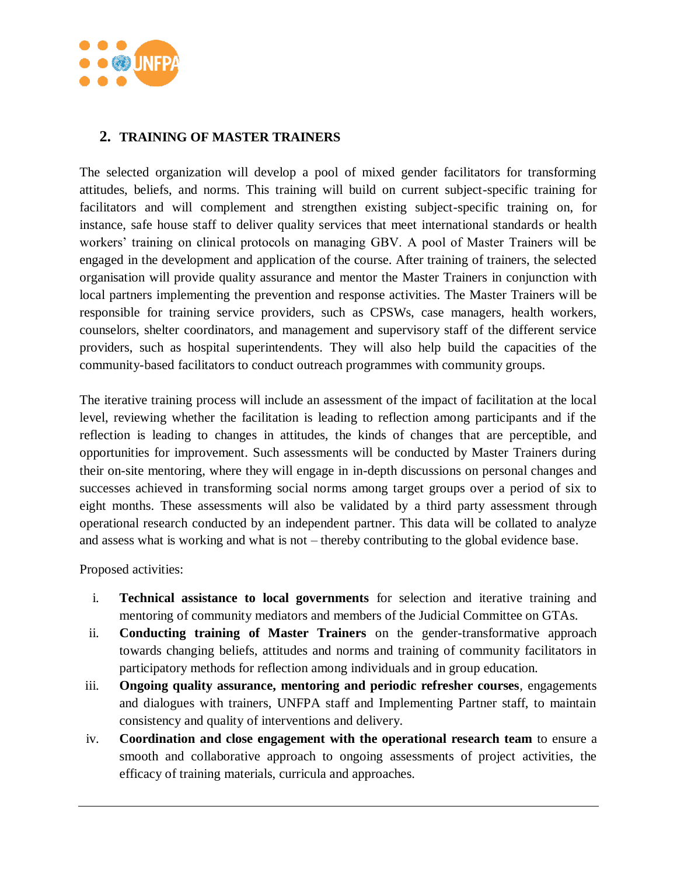

## **2. TRAINING OF MASTER TRAINERS**

The selected organization will develop a pool of mixed gender facilitators for transforming attitudes, beliefs, and norms. This training will build on current subject-specific training for facilitators and will complement and strengthen existing subject-specific training on, for instance, safe house staff to deliver quality services that meet international standards or health workers' training on clinical protocols on managing GBV. A pool of Master Trainers will be engaged in the development and application of the course. After training of trainers, the selected organisation will provide quality assurance and mentor the Master Trainers in conjunction with local partners implementing the prevention and response activities. The Master Trainers will be responsible for training service providers, such as CPSWs, case managers, health workers, counselors, shelter coordinators, and management and supervisory staff of the different service providers, such as hospital superintendents. They will also help build the capacities of the community-based facilitators to conduct outreach programmes with community groups.

The iterative training process will include an assessment of the impact of facilitation at the local level, reviewing whether the facilitation is leading to reflection among participants and if the reflection is leading to changes in attitudes, the kinds of changes that are perceptible, and opportunities for improvement. Such assessments will be conducted by Master Trainers during their on-site mentoring, where they will engage in in-depth discussions on personal changes and successes achieved in transforming social norms among target groups over a period of six to eight months. These assessments will also be validated by a third party assessment through operational research conducted by an independent partner. This data will be collated to analyze and assess what is working and what is not – thereby contributing to the global evidence base.

Proposed activities:

- i. **Technical assistance to local governments** for selection and iterative training and mentoring of community mediators and members of the Judicial Committee on GTAs.
- ii. **Conducting training of Master Trainers** on the gender-transformative approach towards changing beliefs, attitudes and norms and training of community facilitators in participatory methods for reflection among individuals and in group education.
- iii. **Ongoing quality assurance, mentoring and periodic refresher courses**, engagements and dialogues with trainers, UNFPA staff and Implementing Partner staff, to maintain consistency and quality of interventions and delivery.
- iv. **Coordination and close engagement with the operational research team** to ensure a smooth and collaborative approach to ongoing assessments of project activities, the efficacy of training materials, curricula and approaches.